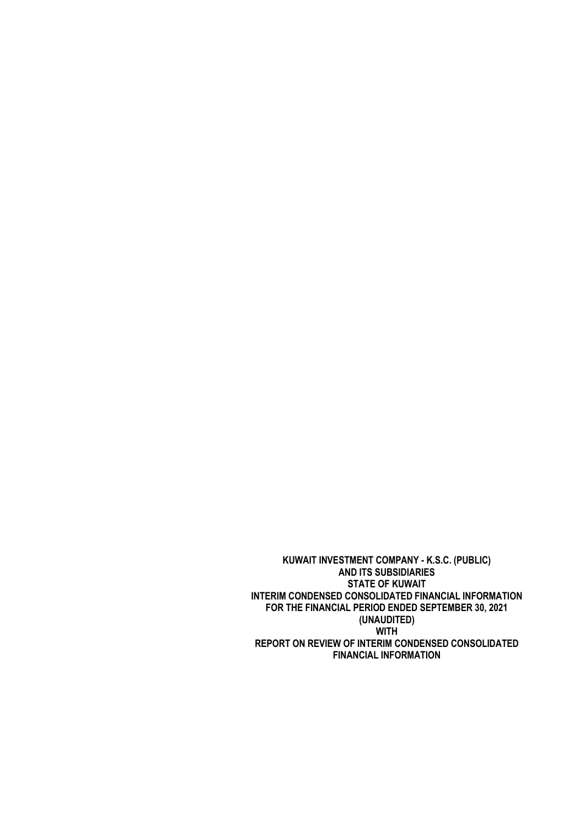**KUWAIT INVESTMENT COMPANY - K.S.C. (PUBLIC) AND ITS SUBSIDIARIES STATE OF KUWAIT INTERIM CONDENSED CONSOLIDATED FINANCIAL INFORMATION FOR THE FINANCIAL PERIOD ENDED SEPTEMBER 30, 2021 (UNAUDITED) WITH REPORT ON REVIEW OF INTERIM CONDENSED CONSOLIDATED FINANCIAL INFORMATION**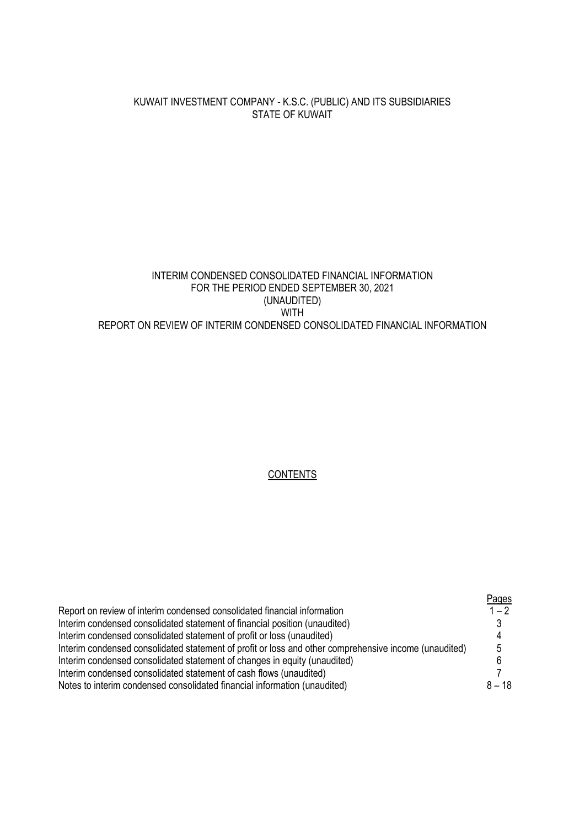# KUWAIT INVESTMENT COMPANY - K.S.C. (PUBLIC) AND ITS SUBSIDIARIES STATE OF KUWAIT

# INTERIM CONDENSED CONSOLIDATED FINANCIAL INFORMATION FOR THE PERIOD ENDED SEPTEMBER 30, 2021 (UNAUDITED) WITH REPORT ON REVIEW OF INTERIM CONDENSED CONSOLIDATED FINANCIAL INFORMATION

#### **CONTENTS**

|                                                                                                       | Pages    |
|-------------------------------------------------------------------------------------------------------|----------|
| Report on review of interim condensed consolidated financial information                              | $1 - 2$  |
| Interim condensed consolidated statement of financial position (unaudited)                            |          |
| Interim condensed consolidated statement of profit or loss (unaudited)                                |          |
| Interim condensed consolidated statement of profit or loss and other comprehensive income (unaudited) | 5        |
| Interim condensed consolidated statement of changes in equity (unaudited)                             |          |
| Interim condensed consolidated statement of cash flows (unaudited)                                    |          |
| Notes to interim condensed consolidated financial information (unaudited)                             | $8 - 18$ |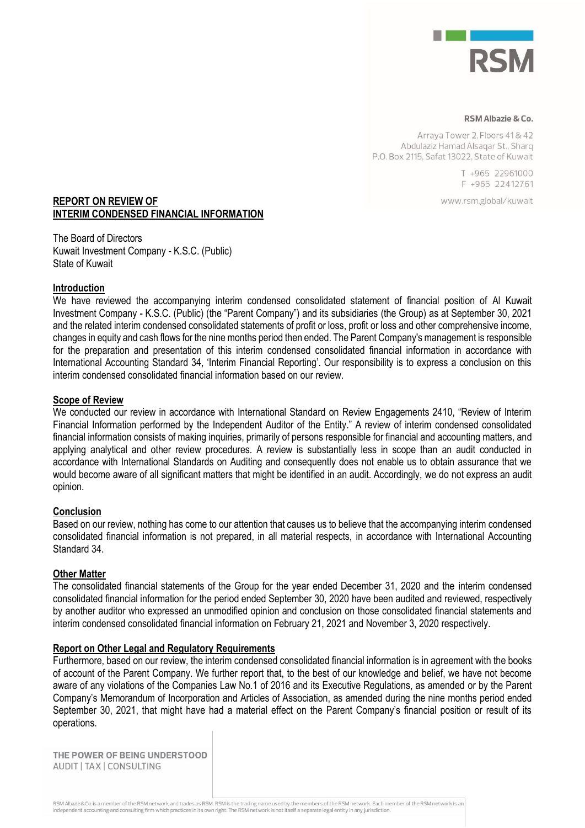

#### RSM Albazie & Co.

Arraya Tower 2, Floors 41 & 42 Abdulaziz Hamad Alsaqar St., Sharq P.O. Box 2115, Safat 13022, State of Kuwait

> T +965 22961000 F +965 22412761

www.rsm.global/kuwait

#### **REPORT ON REVIEW OF INTERIM CONDENSED FINANCIAL INFORMATION**

The Board of Directors Kuwait Investment Company - K.S.C. (Public) State of Kuwait

#### **Introduction**

We have reviewed the accompanying interim condensed consolidated statement of financial position of Al Kuwait Investment Company - K.S.C. (Public) (the "Parent Company") and its subsidiaries (the Group) as at September 30, 2021 and the related interim condensed consolidated statements of profit or loss, profit or loss and other comprehensive income, changes in equity and cash flows for the nine months period then ended. The Parent Company's management is responsible for the preparation and presentation of this interim condensed consolidated financial information in accordance with International Accounting Standard 34, 'Interim Financial Reporting'. Our responsibility is to express a conclusion on this interim condensed consolidated financial information based on our review.

#### **Scope of Review**

We conducted our review in accordance with International Standard on Review Engagements 2410, "Review of Interim Financial Information performed by the Independent Auditor of the Entity." A review of interim condensed consolidated financial information consists of making inquiries, primarily of persons responsible for financial and accounting matters, and applying analytical and other review procedures. A review is substantially less in scope than an audit conducted in accordance with International Standards on Auditing and consequently does not enable us to obtain assurance that we would become aware of all significant matters that might be identified in an audit. Accordingly, we do not express an audit opinion.

## **Conclusion**

Based on our review, nothing has come to our attention that causes us to believe that the accompanying interim condensed consolidated financial information is not prepared, in all material respects, in accordance with International Accounting Standard 34.

#### **Other Matter**

The consolidated financial statements of the Group for the year ended December 31, 2020 and the interim condensed consolidated financial information for the period ended September 30, 2020 have been audited and reviewed, respectively by another auditor who expressed an unmodified opinion and conclusion on those consolidated financial statements and interim condensed consolidated financial information on February 21, 2021 and November 3, 2020 respectively.

#### **Report on Other Legal and Regulatory Requirements**

Furthermore, based on our review, the interim condensed consolidated financial information is in agreement with the books of account of the Parent Company. We further report that, to the best of our knowledge and belief, we have not become aware of any violations of the Companies Law No.1 of 2016 and its Executive Regulations, as amended or by the Parent Company's Memorandum of Incorporation and Articles of Association, as amended during the nine months period ended September 30, 2021, that might have had a material effect on the Parent Company's financial position or result of its operations.

THE POWER OF BEING UNDERSTOOD AUDIT | TAX | CONSULTING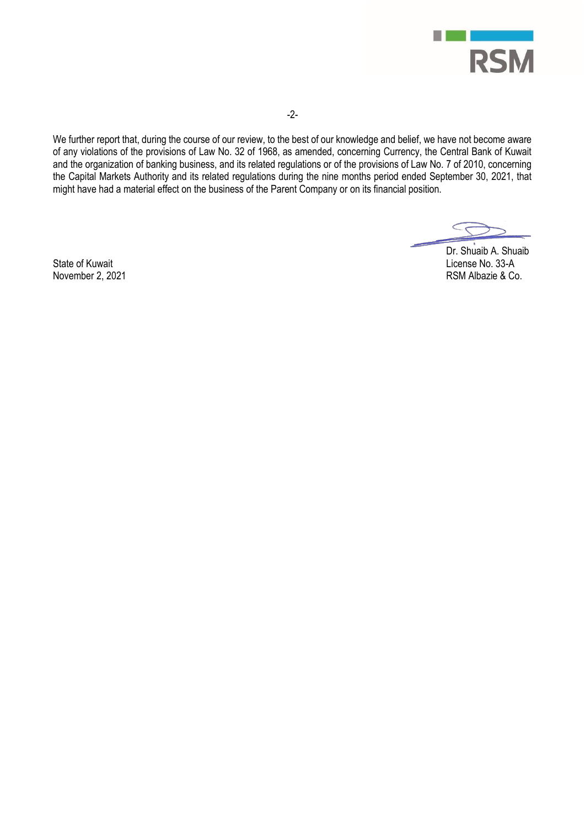

We further report that, during the course of our review, to the best of our knowledge and belief, we have not become aware of any violations of the provisions of Law No. 32 of 1968, as amended, concerning Currency, the Central Bank of Kuwait and the organization of banking business, and its related regulations or of the provisions of Law No. 7 of 2010, concerning the Capital Markets Authority and its related regulations during the nine months period ended September 30, 2021, that might have had a material effect on the business of the Parent Company or on its financial position.

Dr. Shuaib A. Shuaib State of Kuwait Christian Christian Christian Christian Christian Christian Christian Christian Christian Christian Christian Christian Christian Christian Christian Christian Christian Christian Christian Christian Christ RSM Albazie & Co.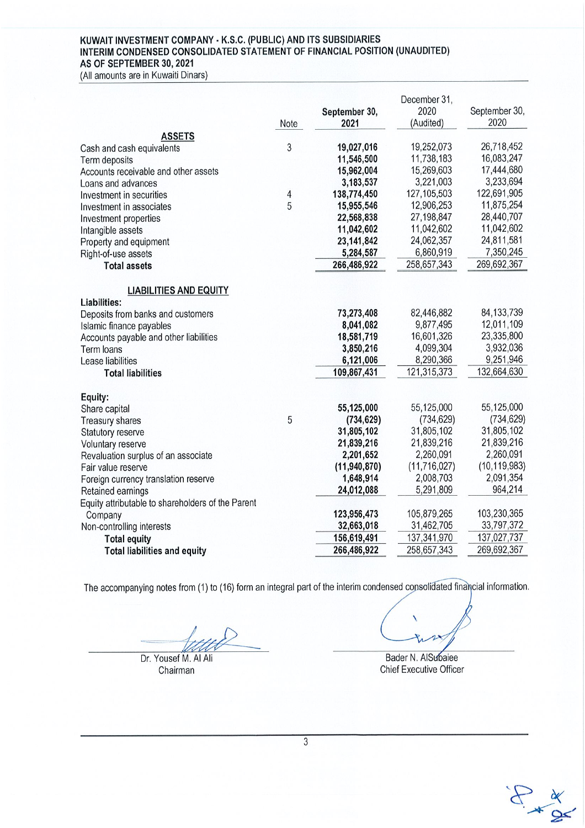# KUWAIT INVESTMENT COMPANY - K.S.C. (PUBLIC) AND ITS SUBSIDIARIES<br>INTERIM CONDENSED CONSOLIDATED STATEMENT OF FINANCIAL POSITION (UNAUDITED) AS OF SEPTEMBER 30, 2021

(All amounts are in Kuwaiti Dinars)

|                                                   |                          |                | December 31,   |                |
|---------------------------------------------------|--------------------------|----------------|----------------|----------------|
|                                                   |                          | September 30,  | 2020           | September 30,  |
|                                                   | Note                     | 2021           | (Audited)      | 2020           |
| <b>ASSETS</b>                                     |                          |                |                |                |
| Cash and cash equivalents                         | 3                        | 19,027,016     | 19,252,073     | 26,718,452     |
| Term deposits                                     |                          | 11,546,500     | 11,738,183     | 16,083,247     |
| Accounts receivable and other assets              |                          | 15,962,004     | 15,269,603     | 17,444,680     |
| Loans and advances                                |                          | 3,183,537      | 3,221,003      | 3,233,694      |
| Investment in securities                          | $\overline{\mathcal{L}}$ | 138,774,450    | 127, 105, 503  | 122,691,905    |
| Investment in associates                          | 5                        | 15,955,546     | 12,906,253     | 11,875,254     |
| Investment properties                             |                          | 22,568,838     | 27,198,847     | 28,440,707     |
| Intangible assets                                 |                          | 11,042,602     | 11,042,602     | 11,042,602     |
| Property and equipment                            |                          | 23, 141, 842   | 24,062,357     | 24,811,581     |
| Right-of-use assets                               |                          | 5,284,587      | 6,860,919      | 7,350,245      |
| <b>Total assets</b>                               |                          | 266,486,922    | 258,657,343    | 269,692,367    |
|                                                   |                          |                |                |                |
| <b>LIABILITIES AND EQUITY</b>                     |                          |                |                |                |
| Liabilities:                                      |                          |                |                |                |
| Deposits from banks and customers                 |                          | 73,273,408     | 82,446,882     | 84, 133, 739   |
| Islamic finance payables                          |                          | 8,041,082      | 9,877,495      | 12,011,109     |
| Accounts payable and other liabilities            |                          | 18,581,719     | 16,601,326     | 23,335,800     |
| Term loans                                        |                          | 3,850,216      | 4,099,304      | 3,932,036      |
| Lease liabilities                                 |                          | 6,121,006      | 8,290,366      | 9,251,946      |
| <b>Total liabilities</b>                          |                          | 109,867,431    | 121,315,373    | 132,664,630    |
|                                                   |                          |                |                |                |
| Equity:                                           |                          |                |                |                |
| Share capital                                     |                          | 55,125,000     | 55,125,000     | 55,125,000     |
| <b>Treasury shares</b>                            | 5                        | (734, 629)     | (734, 629)     | (734, 629)     |
| Statutory reserve                                 |                          | 31,805,102     | 31,805,102     | 31,805,102     |
| Voluntary reserve                                 |                          | 21,839,216     | 21,839,216     | 21,839,216     |
| Revaluation surplus of an associate               |                          | 2,201,652      | 2,260,091      | 2,260,091      |
| Fair value reserve                                |                          | (11, 940, 870) | (11, 716, 027) | (10, 119, 983) |
| Foreign currency translation reserve              |                          | 1,648,914      | 2,008,703      | 2,091,354      |
| Retained earnings                                 |                          | 24,012,088     | 5,291,809      | 964,214        |
| Equity attributable to shareholders of the Parent |                          |                |                |                |
| Company                                           |                          | 123,956,473    | 105,879,265    | 103,230,365    |
| Non-controlling interests                         |                          | 32,663,018     | 31,462,705     | 33,797,372     |
| <b>Total equity</b>                               |                          | 156,619,491    | 137,341,970    | 137,027,737    |
| <b>Total liabilities and equity</b>               |                          | 266,486,922    | 258,657,343    | 269,692,367    |
|                                                   |                          |                |                |                |

The accompanying notes from (1) to (16) form an integral part of the interim condensed consolidated financial information.

Dr. Yousef M. Al Ali

Chairman

Bader N. AlSubaiee

 $\begin{picture}(120,115) \put(0,0){\vector(1,0){15}} \put(15,0){\vector(1,0){15}} \put(15,0){\vector(1,0){15}} \put(15,0){\vector(1,0){15}} \put(15,0){\vector(1,0){15}} \put(15,0){\vector(1,0){15}} \put(15,0){\vector(1,0){15}} \put(15,0){\vector(1,0){15}} \put(15,0){\vector(1,0){15}} \put(15,0){\vector(1,0){15}} \put(15,0){\vector(1,0){15}} \put(15,0){\vector$ 

**Chief Executive Officer**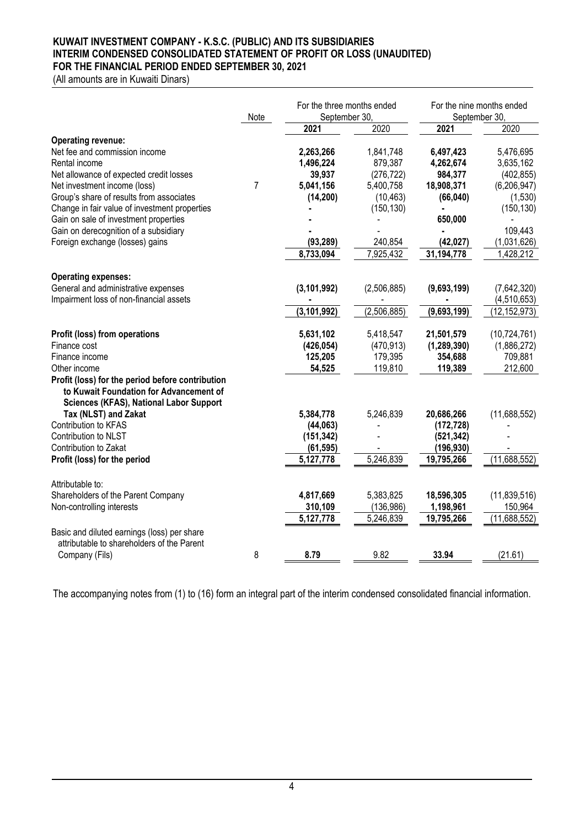## **KUWAIT INVESTMENT COMPANY - K.S.C. (PUBLIC) AND ITS SUBSIDIARIES INTERIM CONDENSED CONSOLIDATED STATEMENT OF PROFIT OR LOSS (UNAUDITED) FOR THE FINANCIAL PERIOD ENDED SEPTEMBER 30, 2021**

(All amounts are in Kuwaiti Dinars)

|                                                                                                                                               | Note           | For the three months ended<br>September 30, |             | For the nine months ended<br>September 30, |                |
|-----------------------------------------------------------------------------------------------------------------------------------------------|----------------|---------------------------------------------|-------------|--------------------------------------------|----------------|
|                                                                                                                                               |                | 2021                                        | 2020        | 2021                                       | 2020           |
| <b>Operating revenue:</b><br>Net fee and commission income                                                                                    |                | 2,263,266                                   | 1,841,748   | 6,497,423                                  | 5,476,695      |
| Rental income                                                                                                                                 |                | 1,496,224                                   | 879,387     | 4,262,674                                  | 3,635,162      |
| Net allowance of expected credit losses                                                                                                       |                | 39,937                                      | (276, 722)  | 984,377                                    | (402, 855)     |
| Net investment income (loss)                                                                                                                  | $\overline{7}$ | 5,041,156                                   | 5,400,758   | 18,908,371                                 | (6, 206, 947)  |
| Group's share of results from associates                                                                                                      |                | (14, 200)                                   | (10, 463)   | (66, 040)                                  | (1,530)        |
| Change in fair value of investment properties                                                                                                 |                |                                             | (150, 130)  |                                            | (150, 130)     |
| Gain on sale of investment properties                                                                                                         |                |                                             |             | 650,000                                    |                |
| Gain on derecognition of a subsidiary                                                                                                         |                |                                             |             |                                            | 109,443        |
| Foreign exchange (losses) gains                                                                                                               |                | (93, 289)                                   | 240,854     | (42, 027)                                  | (1,031,626)    |
|                                                                                                                                               |                | 8,733,094                                   | 7,925,432   | 31,194,778                                 | 1,428,212      |
| <b>Operating expenses:</b>                                                                                                                    |                |                                             |             |                                            |                |
| General and administrative expenses                                                                                                           |                | (3, 101, 992)                               | (2,506,885) | (9,693,199)                                | (7,642,320)    |
| Impairment loss of non-financial assets                                                                                                       |                |                                             |             |                                            | (4,510,653)    |
|                                                                                                                                               |                | (3, 101, 992)                               | (2,506,885) | (9,693,199)                                | (12, 152, 973) |
| Profit (loss) from operations                                                                                                                 |                | 5,631,102                                   | 5,418,547   | 21,501,579                                 | (10, 724, 761) |
| Finance cost                                                                                                                                  |                | (426, 054)                                  | (470, 913)  | (1, 289, 390)                              | (1,886,272)    |
| Finance income                                                                                                                                |                | 125,205                                     | 179,395     | 354,688                                    | 709,881        |
| Other income                                                                                                                                  |                | 54,525                                      | 119,810     | 119,389                                    | 212,600        |
| Profit (loss) for the period before contribution<br>to Kuwait Foundation for Advancement of<br><b>Sciences (KFAS), National Labor Support</b> |                |                                             |             |                                            |                |
| Tax (NLST) and Zakat                                                                                                                          |                | 5,384,778                                   | 5,246,839   | 20,686,266                                 | (11,688,552)   |
| Contribution to KFAS                                                                                                                          |                | (44, 063)                                   |             | (172, 728)                                 |                |
| Contribution to NLST                                                                                                                          |                | (151, 342)                                  |             | (521, 342)                                 |                |
| Contribution to Zakat                                                                                                                         |                | (61, 595)                                   |             | (196, 930)                                 |                |
| Profit (loss) for the period                                                                                                                  |                | 5,127,778                                   | 5,246,839   | 19,795,266                                 | (11,688,552)   |
| Attributable to:                                                                                                                              |                |                                             |             |                                            |                |
| Shareholders of the Parent Company                                                                                                            |                | 4,817,669                                   | 5,383,825   | 18,596,305                                 | (11, 839, 516) |
| Non-controlling interests                                                                                                                     |                | 310,109                                     | (136, 986)  | 1,198,961                                  | 150,964        |
|                                                                                                                                               |                | 5,127,778                                   | 5,246,839   | 19,795,266                                 | (11,688,552)   |
| Basic and diluted earnings (loss) per share<br>attributable to shareholders of the Parent                                                     |                |                                             |             |                                            |                |
| Company (Fils)                                                                                                                                | 8              | 8.79                                        | 9.82        | 33.94                                      | (21.61)        |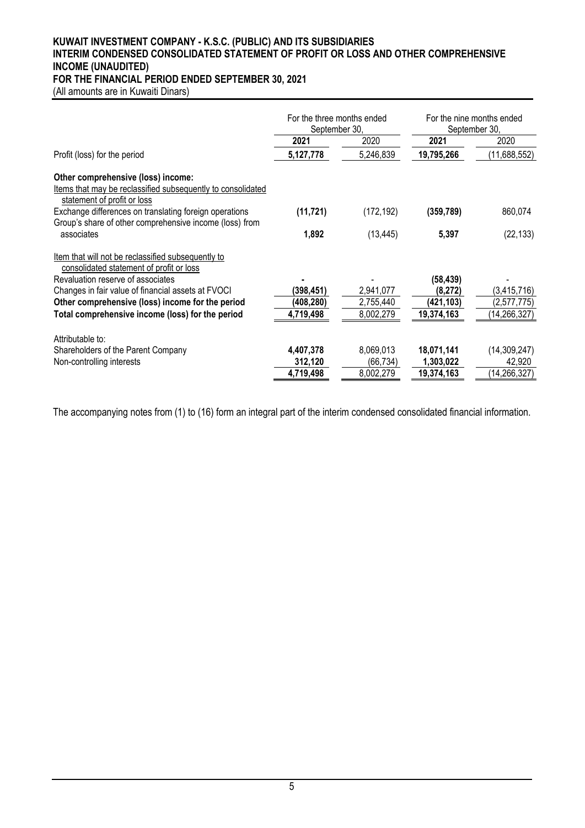#### **KUWAIT INVESTMENT COMPANY - K.S.C. (PUBLIC) AND ITS SUBSIDIARIES INTERIM CONDENSED CONSOLIDATED STATEMENT OF PROFIT OR LOSS AND OTHER COMPREHENSIVE INCOME (UNAUDITED) FOR THE FINANCIAL PERIOD ENDED SEPTEMBER 30, 2021**

(All amounts are in Kuwaiti Dinars)

|                                                                                                                   | September 30, | For the three months ended | For the nine months ended<br>September 30, |                |
|-------------------------------------------------------------------------------------------------------------------|---------------|----------------------------|--------------------------------------------|----------------|
|                                                                                                                   | 2021          | 2020                       | 2021                                       | 2020           |
| Profit (loss) for the period                                                                                      | 5,127,778     | 5,246,839                  | 19,795,266                                 | (11,688,552)   |
| Other comprehensive (loss) income:                                                                                |               |                            |                                            |                |
| Items that may be reclassified subsequently to consolidated<br>statement of profit or loss                        |               |                            |                                            |                |
| Exchange differences on translating foreign operations<br>Group's share of other comprehensive income (loss) from | (11, 721)     | (172, 192)                 | (359, 789)                                 | 860,074        |
| associates                                                                                                        | 1,892         | (13, 445)                  | 5,397                                      | (22, 133)      |
| Item that will not be reclassified subsequently to                                                                |               |                            |                                            |                |
| consolidated statement of profit or loss                                                                          |               |                            |                                            |                |
| Revaluation reserve of associates                                                                                 |               |                            | (58,439)                                   |                |
| Changes in fair value of financial assets at FVOCI                                                                | (398,451)     | 2,941,077                  | (8,272)                                    | (3, 415, 716)  |
| Other comprehensive (loss) income for the period                                                                  | (408,280)     | 2,755,440                  | (421, 103)                                 | (2,577,775)    |
| Total comprehensive income (loss) for the period                                                                  | 4,719,498     | 8,002,279                  | 19,374,163                                 | (14, 266, 327) |
| Attributable to:                                                                                                  |               |                            |                                            |                |
| Shareholders of the Parent Company                                                                                | 4,407,378     | 8,069,013                  | 18,071,141                                 | (14, 309, 247) |
| Non-controlling interests                                                                                         | 312,120       | (66, 734)                  | 1,303,022                                  | 42,920         |
|                                                                                                                   | 4,719,498     | 8,002,279                  | 19,374,163                                 | (14, 266, 327) |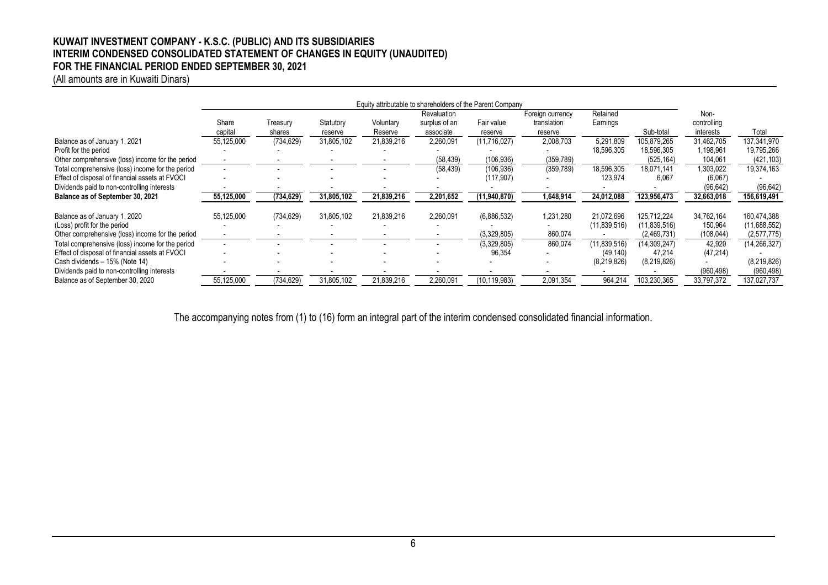#### **KUWAIT INVESTMENT COMPANY - K.S.C. (PUBLIC) AND ITS SUBSIDIARIES INTERIM CONDENSED CONSOLIDATED STATEMENT OF CHANGES IN EQUITY (UNAUDITED) FOR THE FINANCIAL PERIOD ENDED SEPTEMBER 30, 2021**

(All amounts are in Kuwaiti Dinars)

| Equity attributable to shareholders of the Parent Company |                  |                    |                      |                      |                                           |                       |                                            |                     |                |                                  |                |
|-----------------------------------------------------------|------------------|--------------------|----------------------|----------------------|-------------------------------------------|-----------------------|--------------------------------------------|---------------------|----------------|----------------------------------|----------------|
|                                                           | Share<br>capital | Treasury<br>shares | Statutory<br>reserve | Voluntary<br>Reserve | Revaluation<br>surplus of an<br>associate | Fair value<br>reserve | Foreign currency<br>translation<br>reserve | Retained<br>Eamings | Sub-total      | Non-<br>controlling<br>interests | Total          |
| Balance as of January 1, 2021                             | 55,125,000       | (734, 629)         | 31,805,102           | 21,839,216           | 2,260,091                                 | (11,716,027)          | 2,008,703                                  | 5,291,809           | 105,879,265    | 31,462,705                       | 137,341,970    |
| Profit for the period                                     |                  |                    |                      |                      |                                           |                       |                                            | 18,596,305          | 18,596,305     | 1,198,961                        | 19,795,266     |
| Other comprehensive (loss) income for the period          |                  |                    |                      |                      | (58, 439)                                 | (106, 936)            | (359, 789)                                 |                     | (525, 164)     | 104,061                          | (421, 103)     |
| Total comprehensive (loss) income for the period          |                  |                    |                      |                      | (58, 439)                                 | (106, 936)            | (359, 789)                                 | 18,596,305          | 18.071.141     | 1,303,022                        | 19,374,163     |
| Effect of disposal of financial assets at FVOCI           |                  |                    |                      |                      |                                           | (117, 907)            |                                            | 123,974             | 6,067          | (6,067)                          |                |
| Dividends paid to non-controlling interests               |                  |                    |                      |                      |                                           |                       |                                            |                     |                | (96, 642)                        | (96, 642)      |
| Balance as of September 30, 2021                          | 55,125,000       | (734, 629)         | 31,805,102           | 21,839,216           | 2,201,652                                 | (11,940,870)          | 1,648,914                                  | 24,012,088          | 123,956,473    | 32,663,018                       | 156,619,491    |
| Balance as of January 1, 2020                             | 55,125,000       | (734, 629)         | 31,805,102           | 21,839,216           | 2,260,091                                 | (6,886,532)           | 1,231,280                                  | 21,072,696          | 125,712,224    | 34,762,164                       | 160,474,388    |
| (Loss) profit for the period                              |                  |                    |                      |                      |                                           |                       |                                            | (11,839,516)        | (11,839,516)   | 150,964                          | (11,688,552)   |
| Other comprehensive (loss) income for the period          |                  |                    |                      |                      |                                           | (3,329,805)           | 860,074                                    |                     | (2,469,731)    | (108,044)                        | (2,577,775)    |
| Total comprehensive (loss) income for the period          | $\sim$           |                    |                      |                      |                                           | (3,329,805)           | 860,074                                    | (11,839,516)        | (14, 309, 247) | 42,920                           | (14, 266, 327) |
| Effect of disposal of financial assets at FVOCI           |                  |                    |                      |                      |                                           | 96,354                |                                            | (49, 140)           | 47,214         | (47, 214)                        |                |
| Cash dividends - 15% (Note 14)                            |                  |                    |                      |                      |                                           |                       |                                            | (8,219,826)         | (8,219,826)    |                                  | (8,219,826)    |
| Dividends paid to non-controlling interests               |                  |                    |                      |                      |                                           |                       |                                            |                     |                | (960, 498)                       | (960, 498)     |
| Balance as of September 30, 2020                          | 55,125,000       | (734, 629)         | 31,805,102           | 21,839,216           | 2,260,091                                 | (10, 119, 983)        | 2,091,354                                  | 964,214             | 103.230.365    | 33,797,372                       | 137,027,737    |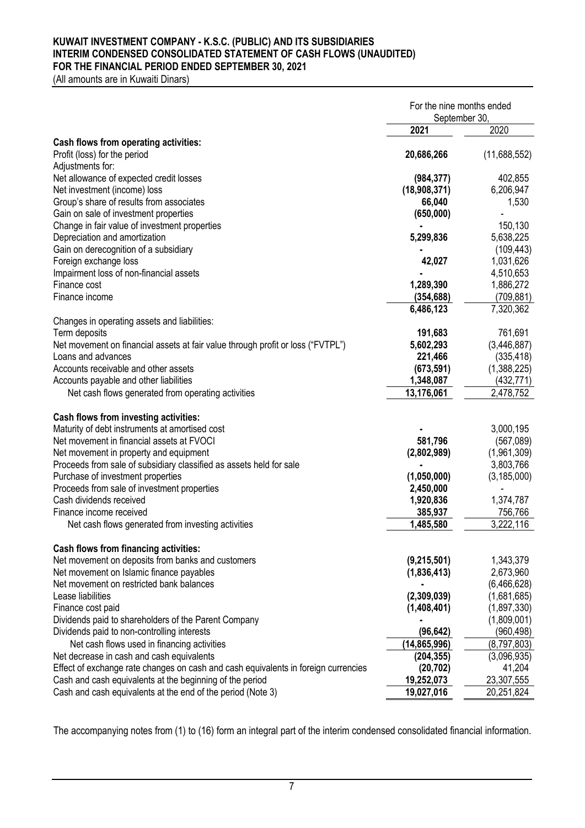#### **KUWAIT INVESTMENT COMPANY - K.S.C. (PUBLIC) AND ITS SUBSIDIARIES INTERIM CONDENSED CONSOLIDATED STATEMENT OF CASH FLOWS (UNAUDITED) FOR THE FINANCIAL PERIOD ENDED SEPTEMBER 30, 2021**

(All amounts are in Kuwaiti Dinars)

|                                                                                      | For the nine months ended |               |
|--------------------------------------------------------------------------------------|---------------------------|---------------|
|                                                                                      | September 30,             |               |
|                                                                                      | 2021                      | 2020          |
| Cash flows from operating activities:                                                |                           |               |
| Profit (loss) for the period                                                         | 20,686,266                | (11,688,552)  |
| Adjustments for:                                                                     |                           |               |
| Net allowance of expected credit losses                                              | (984, 377)                | 402,855       |
| Net investment (income) loss                                                         | (18,908,371)              | 6,206,947     |
| Group's share of results from associates                                             | 66,040                    | 1,530         |
| Gain on sale of investment properties                                                | (650,000)                 |               |
| Change in fair value of investment properties                                        |                           | 150,130       |
| Depreciation and amortization                                                        | 5,299,836                 | 5,638,225     |
| Gain on derecognition of a subsidiary                                                |                           | (109, 443)    |
| Foreign exchange loss                                                                | 42,027                    | 1,031,626     |
| Impairment loss of non-financial assets                                              |                           | 4,510,653     |
| Finance cost                                                                         | 1,289,390                 | 1,886,272     |
| Finance income                                                                       | (354, 688)                | (709, 881)    |
|                                                                                      | 6,486,123                 | 7,320,362     |
| Changes in operating assets and liabilities:                                         |                           |               |
| Term deposits                                                                        | 191,683                   | 761,691       |
| Net movement on financial assets at fair value through profit or loss ("FVTPL")      | 5,602,293                 | (3,446,887)   |
| Loans and advances                                                                   | 221,466                   | (335, 418)    |
| Accounts receivable and other assets                                                 | (673, 591)                | (1,388,225)   |
| Accounts payable and other liabilities                                               | 1,348,087                 | (432, 771)    |
| Net cash flows generated from operating activities                                   | 13,176,061                | 2,478,752     |
|                                                                                      |                           |               |
| Cash flows from investing activities:                                                |                           |               |
| Maturity of debt instruments at amortised cost                                       |                           | 3,000,195     |
| Net movement in financial assets at FVOCI                                            | 581,796                   | (567,089)     |
| Net movement in property and equipment                                               | (2,802,989)               | (1,961,309)   |
| Proceeds from sale of subsidiary classified as assets held for sale                  |                           | 3,803,766     |
| Purchase of investment properties                                                    | (1,050,000)               | (3, 185, 000) |
| Proceeds from sale of investment properties                                          | 2,450,000                 |               |
| Cash dividends received                                                              | 1,920,836                 | 1,374,787     |
| Finance income received                                                              | 385,937                   | 756,766       |
| Net cash flows generated from investing activities                                   | 1,485,580                 | 3,222,116     |
|                                                                                      |                           |               |
| Cash flows from financing activities:                                                |                           |               |
| Net movement on deposits from banks and customers                                    | (9,215,501)               | 1,343,379     |
| Net movement on Islamic finance payables<br>Net movement on restricted bank balances | (1,836,413)               | 2,673,960     |
|                                                                                      |                           | (6,466,628)   |
| Lease liabilities                                                                    | (2,309,039)               | (1,681,685)   |
| Finance cost paid                                                                    | (1,408,401)               | (1,897,330)   |
| Dividends paid to shareholders of the Parent Company                                 |                           | (1,809,001)   |
| Dividends paid to non-controlling interests                                          | (96, 642)                 | (960,498)     |
| Net cash flows used in financing activities                                          | (14,865,996)              | (8,797,803)   |
| Net decrease in cash and cash equivalents                                            | (204, 355)                | (3,096,935)   |
| Effect of exchange rate changes on cash and cash equivalents in foreign currencies   | (20, 702)                 | 41,204        |
| Cash and cash equivalents at the beginning of the period                             | 19,252,073                | 23,307,555    |
| Cash and cash equivalents at the end of the period (Note 3)                          | 19,027,016                | 20,251,824    |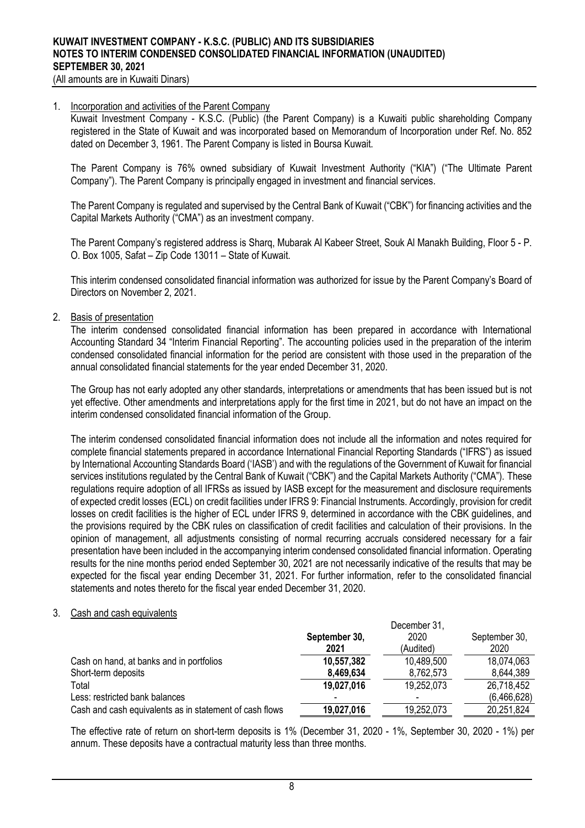(All amounts are in Kuwaiti Dinars)

#### 1. Incorporation and activities of the Parent Company

Kuwait Investment Company - K.S.C. (Public) (the Parent Company) is a Kuwaiti public shareholding Company registered in the State of Kuwait and was incorporated based on Memorandum of Incorporation under Ref. No. 852 dated on December 3, 1961. The Parent Company is listed in Boursa Kuwait.

The Parent Company is 76% owned subsidiary of Kuwait Investment Authority ("KIA") ("The Ultimate Parent Company"). The Parent Company is principally engaged in investment and financial services.

The Parent Company is regulated and supervised by the Central Bank of Kuwait ("CBK") for financing activities and the Capital Markets Authority ("CMA") as an investment company.

The Parent Company's registered address is Sharq, Mubarak Al Kabeer Street, Souk Al Manakh Building, Floor 5 - P. O. Box 1005, Safat – Zip Code 13011 – State of Kuwait.

This interim condensed consolidated financial information was authorized for issue by the Parent Company's Board of Directors on November 2, 2021.

#### 2. Basis of presentation

The interim condensed consolidated financial information has been prepared in accordance with International Accounting Standard 34 "Interim Financial Reporting". The accounting policies used in the preparation of the interim condensed consolidated financial information for the period are consistent with those used in the preparation of the annual consolidated financial statements for the year ended December 31, 2020.

The Group has not early adopted any other standards, interpretations or amendments that has been issued but is not yet effective. Other amendments and interpretations apply for the first time in 2021, but do not have an impact on the interim condensed consolidated financial information of the Group.

The interim condensed consolidated financial information does not include all the information and notes required for complete financial statements prepared in accordance International Financial Reporting Standards ("IFRS") as issued by International Accounting Standards Board ('IASB') and with the regulations of the Government of Kuwait for financial services institutions regulated by the Central Bank of Kuwait ("CBK") and the Capital Markets Authority ("CMA"). These regulations require adoption of all IFRSs as issued by IASB except for the measurement and disclosure requirements of expected credit losses (ECL) on credit facilities under IFRS 9: Financial Instruments. Accordingly, provision for credit losses on credit facilities is the higher of ECL under IFRS 9, determined in accordance with the CBK guidelines, and the provisions required by the CBK rules on classification of credit facilities and calculation of their provisions. In the opinion of management, all adjustments consisting of normal recurring accruals considered necessary for a fair presentation have been included in the accompanying interim condensed consolidated financial information. Operating results for the nine months period ended September 30, 2021 are not necessarily indicative of the results that may be expected for the fiscal year ending December 31, 2021. For further information, refer to the consolidated financial statements and notes thereto for the fiscal year ended December 31, 2020.

#### 3. Cash and cash equivalents

|                                                         |               | December 31, |               |
|---------------------------------------------------------|---------------|--------------|---------------|
|                                                         | September 30, | 2020         | September 30, |
|                                                         | 2021          | (Audited)    | 2020          |
| Cash on hand, at banks and in portfolios                | 10,557,382    | 10,489,500   | 18,074,063    |
| Short-term deposits                                     | 8,469,634     | 8,762,573    | 8,644,389     |
| Total                                                   | 19,027,016    | 19,252,073   | 26,718,452    |
| Less: restricted bank balances                          |               |              | (6,466,628)   |
| Cash and cash equivalents as in statement of cash flows | 19,027,016    | 19,252,073   | 20,251,824    |
|                                                         |               |              |               |

The effective rate of return on short-term deposits is 1% (December 31, 2020 - 1%, September 30, 2020 - 1%) per annum. These deposits have a contractual maturity less than three months.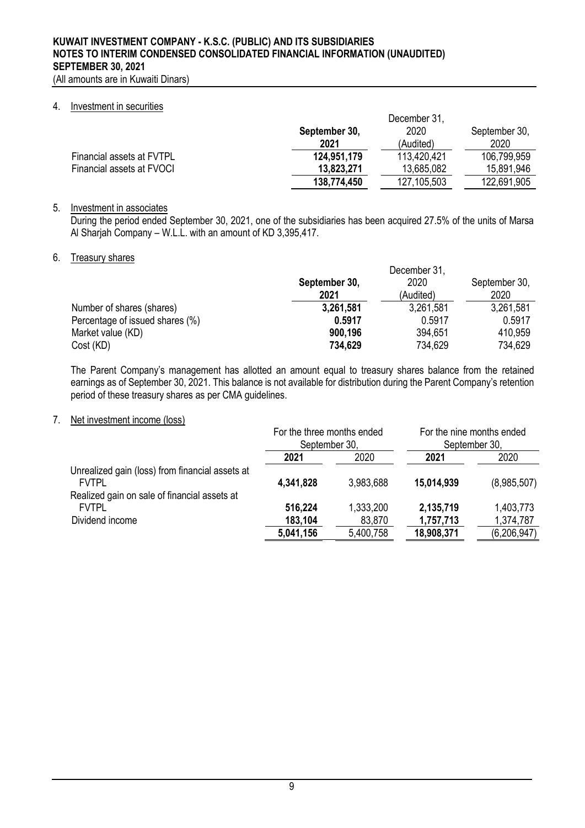#### 4. Investment in securities

|                           | December 31.  |               |               |  |  |
|---------------------------|---------------|---------------|---------------|--|--|
|                           | September 30, | 2020          | September 30. |  |  |
|                           | 2021          | (Audited)     | 2020          |  |  |
| Financial assets at FVTPL | 124,951,179   | 113,420,421   | 106,799,959   |  |  |
| Financial assets at FVOCI | 13,823,271    | 13,685,082    | 15,891,946    |  |  |
|                           | 138,774,450   | 127, 105, 503 | 122,691,905   |  |  |

## 5. Investment in associates

During the period ended September 30, 2021, one of the subsidiaries has been acquired 27.5% of the units of Marsa Al Sharjah Company – W.L.L. with an amount of KD 3,395,417.

# 6. Treasury shares

|                                 | December 31.  |           |               |  |  |
|---------------------------------|---------------|-----------|---------------|--|--|
|                                 | September 30, | 2020      | September 30, |  |  |
|                                 | 2021          | (Audited) | 2020          |  |  |
| Number of shares (shares)       | 3,261,581     | 3,261,581 | 3,261,581     |  |  |
| Percentage of issued shares (%) | 0.5917        | 0.5917    | 0.5917        |  |  |
| Market value (KD)               | 900,196       | 394,651   | 410,959       |  |  |
| Cost (KD)                       | 734,629       | 734,629   | 734,629       |  |  |

The Parent Company's management has allotted an amount equal to treasury shares balance from the retained earnings as of September 30, 2021. This balance is not available for distribution during the Parent Company's retention period of these treasury shares as per CMA guidelines.

## 7. Net investment income (loss)

|                                                 | For the three months ended<br>September 30, |           | For the nine months ended<br>September 30, |               |  |
|-------------------------------------------------|---------------------------------------------|-----------|--------------------------------------------|---------------|--|
|                                                 | 2020<br>2021                                |           | 2021                                       | 2020          |  |
| Unrealized gain (loss) from financial assets at |                                             |           |                                            |               |  |
| <b>FVTPL</b>                                    | 4,341,828                                   | 3,983,688 | 15,014,939                                 | (8,985,507)   |  |
| Realized gain on sale of financial assets at    |                                             |           |                                            |               |  |
| <b>FVTPL</b>                                    | 516,224                                     | 1,333,200 | 2,135,719                                  | 1,403,773     |  |
| Dividend income                                 | 183,104                                     | 83,870    | 1,757,713                                  | 1,374,787     |  |
|                                                 | 5,041,156                                   | 5,400,758 | 18,908,371                                 | (6, 206, 947) |  |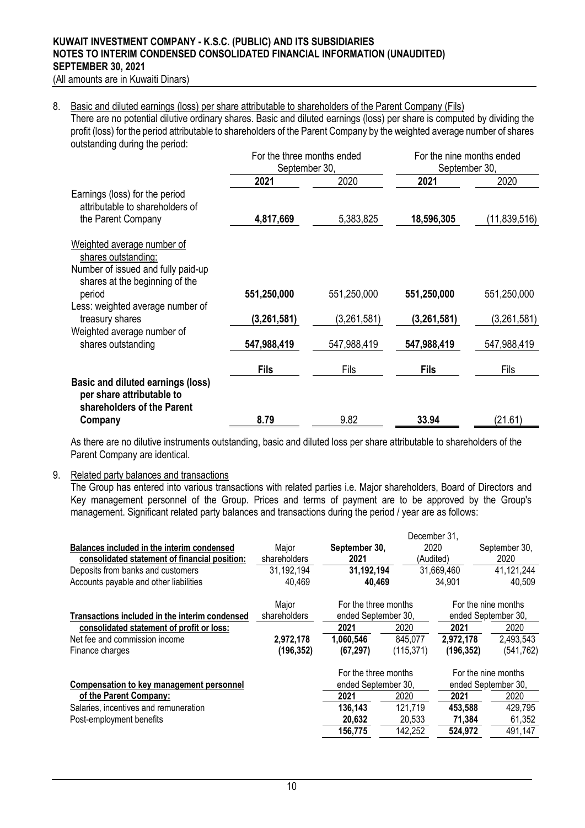(All amounts are in Kuwaiti Dinars)

#### 8. Basic and diluted earnings (loss) per share attributable to shareholders of the Parent Company (Fils)

There are no potential dilutive ordinary shares. Basic and diluted earnings (loss) per share is computed by dividing the profit (loss) for the period attributable to shareholders of the Parent Company by the weighted average number of shares outstanding during the period:

|                                                                                              | For the three months ended<br>September 30, |             | For the nine months ended<br>September 30, |              |
|----------------------------------------------------------------------------------------------|---------------------------------------------|-------------|--------------------------------------------|--------------|
|                                                                                              | 2021                                        | 2020        | 2021                                       | 2020         |
| Earnings (loss) for the period<br>attributable to shareholders of<br>the Parent Company      | 4,817,669                                   | 5,383,825   | 18,596,305                                 | (11,839,516) |
| Weighted average number of<br>shares outstanding:                                            |                                             |             |                                            |              |
| Number of issued and fully paid-up<br>shares at the beginning of the<br>period               | 551,250,000                                 | 551,250,000 | 551,250,000                                | 551,250,000  |
| Less: weighted average number of<br>treasury shares                                          | (3,261,581)                                 | (3,261,581) | (3,261,581)                                | (3,261,581)  |
| Weighted average number of<br>shares outstanding                                             | 547,988,419                                 | 547,988,419 | 547,988,419                                | 547,988,419  |
|                                                                                              | <b>Fils</b>                                 | Fils        | <b>Fils</b>                                | Fils         |
| Basic and diluted earnings (loss)<br>per share attributable to<br>shareholders of the Parent |                                             |             | 33.94                                      |              |
| Company                                                                                      | 8.79                                        | 9.82        |                                            | (21.61)      |

As there are no dilutive instruments outstanding, basic and diluted loss per share attributable to shareholders of the Parent Company are identical.

#### 9. Related party balances and transactions

The Group has entered into various transactions with related parties i.e. Major shareholders, Board of Directors and Key management personnel of the Group. Prices and terms of payment are to be approved by the Group's management. Significant related party balances and transactions during the period / year are as follows:

|                                                |              |                      | December 31. |            |                     |
|------------------------------------------------|--------------|----------------------|--------------|------------|---------------------|
| Balances included in the interim condensed     | Major        | September 30,        | 2020         |            | September 30,       |
| consolidated statement of financial position:  | shareholders | 2021                 | (Audited)    |            | 2020                |
| Deposits from banks and customers              | 31,192,194   | 31,192,194           |              | 31,669,460 | 41,121,244          |
| Accounts payable and other liabilities         | 40,469       | 40.469               |              | 34,901     | 40,509              |
|                                                | Major        | For the three months |              |            | For the nine months |
| Transactions included in the interim condensed | shareholders | ended September 30,  |              |            | ended September 30, |
| consolidated statement of profit or loss:      |              | 2021                 | 2020         | 2021       | 2020                |
| Net fee and commission income                  | 2,972,178    | 1,060,546            | 845,077      | 2,972,178  | 2,493,543           |
| Finance charges                                | (196,352)    | (67, 297)            | (115, 371)   | (196, 352) | (541, 762)          |
|                                                |              | For the three months |              |            | For the nine months |
| Compensation to key management personnel       |              | ended September 30,  |              |            | ended September 30, |
| of the Parent Company:                         |              | 2021                 | 2020         | 2021       | 2020                |
| Salaries, incentives and remuneration          |              | 136,143              | 121.719      | 453,588    | 429,795             |
| Post-employment benefits                       |              | 20,632               | 20,533       | 71,384     | 61,352              |
|                                                |              | 156,775              | 142,252      | 524,972    | 491,147             |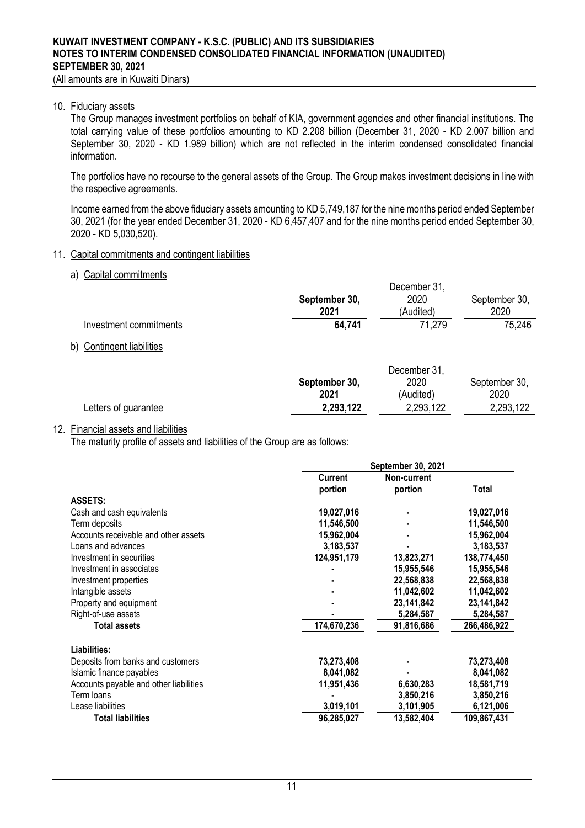(All amounts are in Kuwaiti Dinars)

#### 10. Fiduciary assets

The Group manages investment portfolios on behalf of KIA, government agencies and other financial institutions. The total carrying value of these portfolios amounting to KD 2.208 billion (December 31, 2020 - KD 2.007 billion and September 30, 2020 - KD 1.989 billion) which are not reflected in the interim condensed consolidated financial information.

The portfolios have no recourse to the general assets of the Group. The Group makes investment decisions in line with the respective agreements.

Income earned from the above fiduciary assets amounting to KD 5,749,187 for the nine months period ended September 30, 2021 (for the year ended December 31, 2020 - KD 6,457,407 and for the nine months period ended September 30, 2020 - KD 5,030,520).

#### 11. Capital commitments and contingent liabilities

#### a) Capital commitments

|                        | December 31,  |           |               |  |
|------------------------|---------------|-----------|---------------|--|
|                        | September 30, | 2020      | September 30, |  |
|                        | 2021          | (Audited) | 2020          |  |
| Investment commitments | 64,741        | 71,279    | 75,246        |  |
|                        |               |           |               |  |

b) Contingent liabilities

|                      |               | December 31, |               |
|----------------------|---------------|--------------|---------------|
|                      | September 30, | 2020         | September 30, |
|                      | 2021          | (Audited)    | 2020          |
| Letters of guarantee | 2,293,122     | 2,293,122    | 2,293,122     |
|                      |               |              |               |

#### 12. Financial assets and liabilities

The maturity profile of assets and liabilities of the Group are as follows:

|                                        |                | September 30, 2021 |             |
|----------------------------------------|----------------|--------------------|-------------|
|                                        | <b>Current</b> | Non-current        |             |
|                                        | portion        | portion            | Total       |
| <b>ASSETS:</b>                         |                |                    |             |
| Cash and cash equivalents              | 19,027,016     |                    | 19,027,016  |
| Term deposits                          | 11,546,500     |                    | 11,546,500  |
| Accounts receivable and other assets   | 15,962,004     |                    | 15,962,004  |
| Loans and advances                     | 3,183,537      |                    | 3,183,537   |
| Investment in securities               | 124,951,179    | 13,823,271         | 138,774,450 |
| Investment in associates               |                | 15,955,546         | 15,955,546  |
| Investment properties                  |                | 22,568,838         | 22,568,838  |
| Intangible assets                      |                | 11,042,602         | 11,042,602  |
| Property and equipment                 |                | 23,141,842         | 23,141,842  |
| Right-of-use assets                    |                | 5,284,587          | 5,284,587   |
| <b>Total assets</b>                    | 174,670,236    | 91,816,686         | 266,486,922 |
| Liabilities:                           |                |                    |             |
| Deposits from banks and customers      | 73,273,408     |                    | 73,273,408  |
| Islamic finance payables               | 8,041,082      |                    | 8,041,082   |
| Accounts payable and other liabilities | 11,951,436     | 6,630,283          | 18,581,719  |
| Term loans                             |                | 3,850,216          | 3,850,216   |
| Lease liabilities                      | 3,019,101      | 3,101,905          | 6,121,006   |
| <b>Total liabilities</b>               | 96,285,027     | 13,582,404         | 109,867,431 |
|                                        |                |                    |             |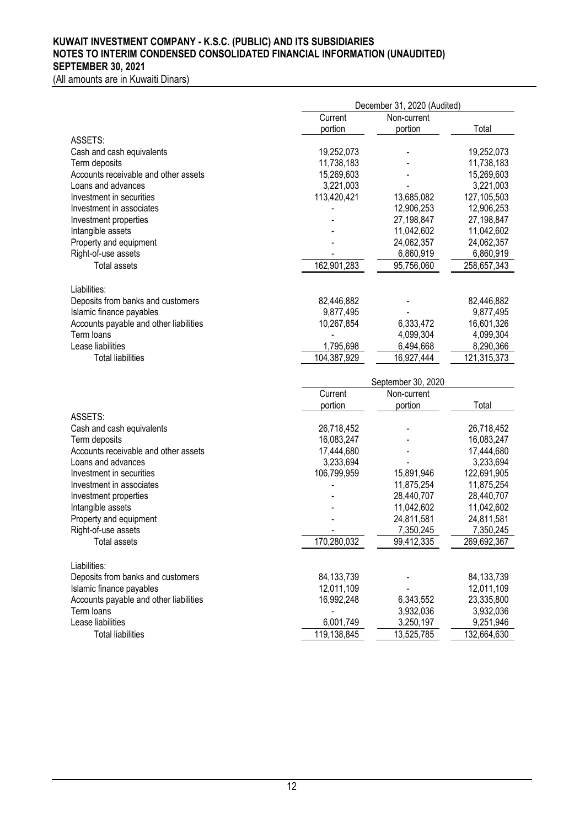(All amounts are in Kuwaiti Dinars)

|                                               |                          | December 31, 2020 (Audited) |                          |  |
|-----------------------------------------------|--------------------------|-----------------------------|--------------------------|--|
|                                               | Current                  | Non-current                 |                          |  |
|                                               | portion                  | portion                     | Total                    |  |
| ASSETS:                                       |                          |                             |                          |  |
| Cash and cash equivalents                     | 19,252,073               |                             | 19,252,073               |  |
| Term deposits                                 | 11,738,183               |                             | 11,738,183               |  |
| Accounts receivable and other assets          | 15,269,603               |                             | 15,269,603               |  |
| Loans and advances                            | 3,221,003                |                             | 3,221,003                |  |
| Investment in securities                      | 113,420,421              | 13,685,082                  | 127, 105, 503            |  |
| Investment in associates                      |                          | 12,906,253                  | 12,906,253               |  |
| Investment properties                         |                          | 27,198,847                  | 27,198,847               |  |
| Intangible assets                             |                          | 11,042,602                  | 11,042,602               |  |
| Property and equipment                        |                          | 24,062,357                  | 24,062,357               |  |
| Right-of-use assets                           |                          | 6,860,919                   | 6,860,919                |  |
| <b>Total assets</b>                           | 162,901,283              | 95,756,060                  | 258,657,343              |  |
|                                               |                          |                             |                          |  |
| Liabilities:                                  |                          |                             |                          |  |
| Deposits from banks and customers             | 82,446,882               |                             | 82,446,882               |  |
| Islamic finance payables                      | 9,877,495                |                             | 9,877,495                |  |
| Accounts payable and other liabilities        | 10,267,854               | 6,333,472                   | 16,601,326               |  |
| Term loans                                    |                          | 4,099,304                   | 4,099,304                |  |
| Lease liabilities                             | 1,795,698                | 6,494,668                   | 8,290,366                |  |
| <b>Total liabilities</b>                      | 104,387,929              | 16,927,444                  | 121,315,373              |  |
|                                               |                          |                             |                          |  |
|                                               | September 30, 2020       |                             |                          |  |
|                                               | Current                  | Non-current                 |                          |  |
|                                               | portion                  | portion                     | Total                    |  |
| ASSETS:                                       |                          |                             |                          |  |
| Cash and cash equivalents                     | 26,718,452               |                             | 26,718,452               |  |
| Term deposits                                 | 16,083,247               |                             | 16,083,247               |  |
| Accounts receivable and other assets          | 17,444,680               |                             | 17,444,680               |  |
| Loans and advances                            | 3,233,694                |                             | 3,233,694                |  |
| Investment in securities                      | 106,799,959              | 15,891,946                  | 122,691,905              |  |
| Investment in associates                      |                          | 11,875,254                  | 11,875,254               |  |
| Investment properties                         |                          | 28,440,707                  | 28,440,707               |  |
| Intangible assets                             |                          | 11,042,602                  | 11,042,602               |  |
| Property and equipment                        |                          | 24,811,581                  | 24,811,581               |  |
| Right-of-use assets                           |                          |                             | 7,350,245                |  |
|                                               |                          |                             |                          |  |
|                                               |                          | 7,350,245                   |                          |  |
| Total assets                                  | 170,280,032              | 99,412,335                  | 269,692,367              |  |
|                                               |                          |                             |                          |  |
| Liabilities:                                  |                          |                             |                          |  |
| Deposits from banks and customers             | 84, 133, 739             |                             | 84, 133, 739             |  |
| Islamic finance payables                      | 12,011,109               |                             | 12,011,109               |  |
| Accounts payable and other liabilities        | 16,992,248               | 6,343,552                   | 23,335,800               |  |
| Term loans                                    |                          | 3,932,036                   | 3,932,036                |  |
| Lease liabilities<br><b>Total liabilities</b> | 6,001,749<br>119,138,845 | 3,250,197<br>13,525,785     | 9,251,946<br>132,664,630 |  |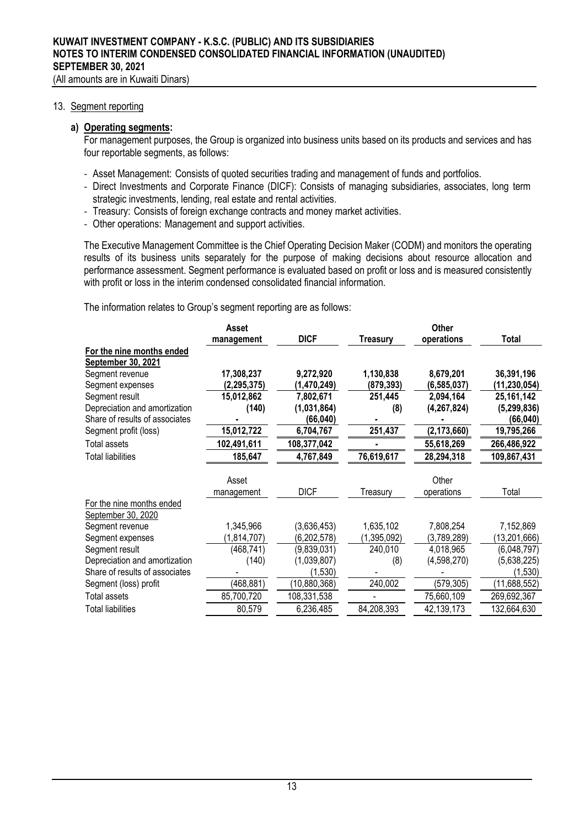#### 13. Segment reporting

### **a) Operating segments:**

For management purposes, the Group is organized into business units based on its products and services and has four reportable segments, as follows:

- Asset Management: Consists of quoted securities trading and management of funds and portfolios.
- Direct Investments and Corporate Finance (DICF): Consists of managing subsidiaries, associates, long term strategic investments, lending, real estate and rental activities.
- Treasury: Consists of foreign exchange contracts and money market activities.
- Other operations: Management and support activities.

The Executive Management Committee is the Chief Operating Decision Maker (CODM) and monitors the operating results of its business units separately for the purpose of making decisions about resource allocation and performance assessment. Segment performance is evaluated based on profit or loss and is measured consistently with profit or loss in the interim condensed consolidated financial information.

The information relates to Group's segment reporting are as follows:

|                                | Asset         |                | <b>Other</b> |               |                |  |
|--------------------------------|---------------|----------------|--------------|---------------|----------------|--|
|                                | management    | <b>DICF</b>    | Treasurv     | operations    | <b>Total</b>   |  |
| For the nine months ended      |               |                |              |               |                |  |
| September 30, 2021             |               |                |              |               |                |  |
| Segment revenue                | 17,308,237    | 9,272,920      | 1,130,838    | 8,679,201     | 36,391,196     |  |
| Segment expenses               | (2, 295, 375) | (1,470,249)    | (879, 393)   | (6, 585, 037) | (11,230,054)   |  |
| Segment result                 | 15,012,862    | 7,802,671      | 251,445      | 2,094,164     | 25, 161, 142   |  |
| Depreciation and amortization  | (140)         | (1,031,864)    | (8)          | (4, 267, 824) | (5, 299, 836)  |  |
| Share of results of associates |               | (66,040)       |              |               | (66, 040)      |  |
| Segment profit (loss)          | 15,012,722    | 6,704,767      | 251,437      | (2, 173, 660) | 19,795,266     |  |
| Total assets                   | 102,491,611   | 108,377,042    |              | 55,618,269    | 266,486,922    |  |
| Total liabilities              | 185,647       | 4,767,849      | 76,619,617   | 28,294,318    | 109,867,431    |  |
|                                | Asset         |                |              | Other         |                |  |
|                                | management    | <b>DICF</b>    | Treasury     | operations    | Total          |  |
| For the nine months ended      |               |                |              |               |                |  |
| September 30, 2020             |               |                |              |               |                |  |
| Segment revenue                | 1,345,966     | (3,636,453)    | 1,635,102    | 7,808,254     | 7,152,869      |  |
| Segment expenses               | (1,814,707)   | (6,202,578)    | (1,395,092)  | (3,789,289)   | (13, 201, 666) |  |
| Segment result                 | (468, 741)    | (9,839,031)    | 240,010      | 4,018,965     | (6,048,797)    |  |
| Depreciation and amortization  | (140)         | (1,039,807)    | (8)          | (4,598,270)   | (5,638,225)    |  |
| Share of results of associates |               | (1,530)        |              |               | (1,530)        |  |
| Segment (loss) profit          | (468, 881)    | (10, 880, 368) | 240,002      | (579, 305)    | (11,688,552)   |  |
| Total assets                   | 85,700,720    | 108,331,538    |              | 75,660,109    | 269,692,367    |  |
| Total liabilities              | 80,579        | 6,236,485      | 84,208,393   | 42,139,173    | 132,664,630    |  |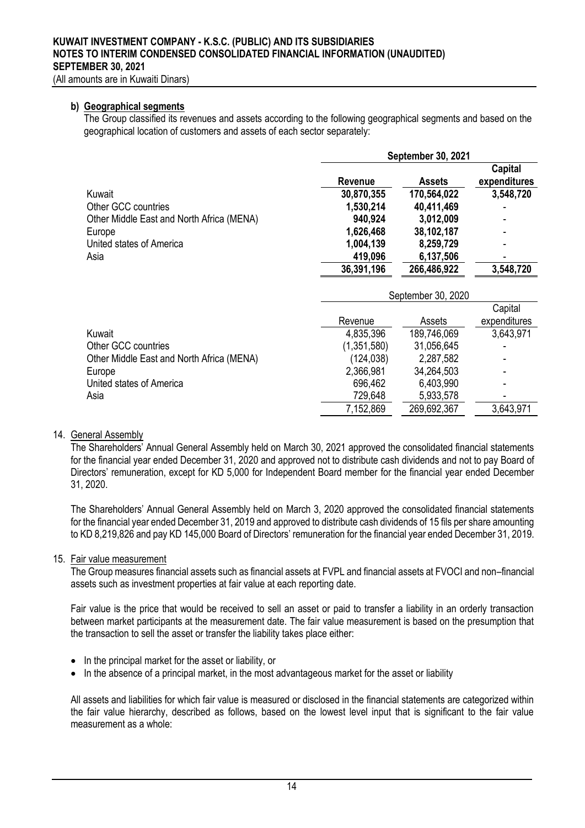#### **b) Geographical segments**

The Group classified its revenues and assets according to the following geographical segments and based on the geographical location of customers and assets of each sector separately:

|                                           |                | <b>September 30, 2021</b> |                         |
|-------------------------------------------|----------------|---------------------------|-------------------------|
|                                           | <b>Revenue</b> | <b>Assets</b>             | Capital<br>expenditures |
| Kuwait                                    | 30,870,355     | 170,564,022               | 3,548,720               |
| Other GCC countries                       | 1,530,214      | 40,411,469                |                         |
| Other Middle East and North Africa (MENA) | 940,924        | 3,012,009                 |                         |
| Europe                                    | 1,626,468      | 38,102,187                |                         |
| United states of America                  | 1,004,139      | 8,259,729                 |                         |
| Asia                                      | 419,096        | 6,137,506                 |                         |
|                                           | 36,391,196     | 266,486,922               | 3,548,720               |
|                                           |                | September 30, 2020        |                         |
|                                           |                |                           | Capital                 |
|                                           | Revenue        | Assets                    | expenditures            |
| Kuwait                                    | 4,835,396      | 189,746,069               | 3,643,971               |
| Other GCC countries                       | (1,351,580)    | 31,056,645                |                         |
| Other Middle East and North Africa (MENA) | (124, 038)     | 2,287,582                 |                         |
| Europe                                    | 2,366,981      | 34,264,503                |                         |
| United states of America                  | 696,462        | 6,403,990                 |                         |
| Asia                                      | 729,648        | 5,933,578                 |                         |
|                                           | 7,152,869      | 269,692,367               | 3,643,971               |

## 14. General Assembly

The Shareholders' Annual General Assembly held on March 30, 2021 approved the consolidated financial statements for the financial year ended December 31, 2020 and approved not to distribute cash dividends and not to pay Board of Directors' remuneration, except for KD 5,000 for Independent Board member for the financial year ended December 31, 2020.

The Shareholders' Annual General Assembly held on March 3, 2020 approved the consolidated financial statements for the financial year ended December 31, 2019 and approved to distribute cash dividends of 15 fils per share amounting to KD 8,219,826 and pay KD 145,000 Board of Directors' remuneration for the financial year ended December 31, 2019.

#### 15. Fair value measurement

The Group measures financial assets such as financial assets at FVPL and financial assets at FVOCI and non–financial assets such as investment properties at fair value at each reporting date.

Fair value is the price that would be received to sell an asset or paid to transfer a liability in an orderly transaction between market participants at the measurement date. The fair value measurement is based on the presumption that the transaction to sell the asset or transfer the liability takes place either:

- In the principal market for the asset or liability, or
- In the absence of a principal market, in the most advantageous market for the asset or liability

All assets and liabilities for which fair value is measured or disclosed in the financial statements are categorized within the fair value hierarchy, described as follows, based on the lowest level input that is significant to the fair value measurement as a whole: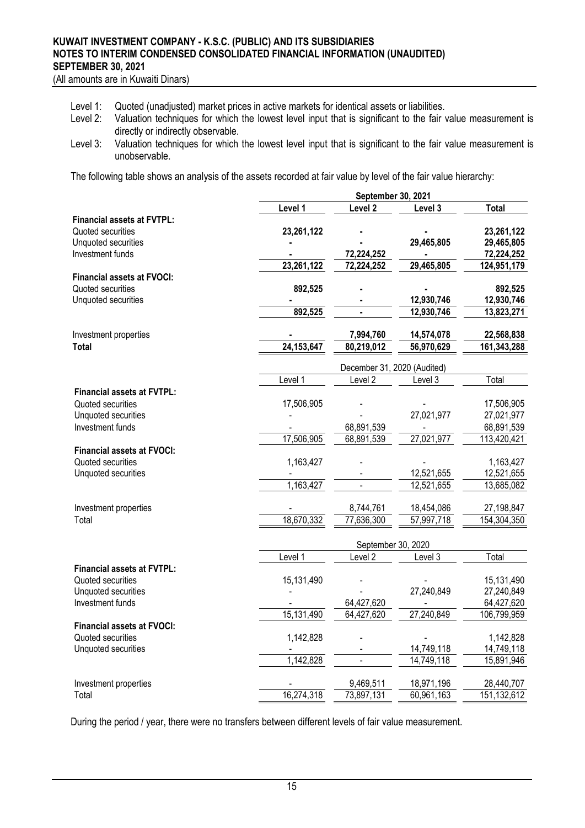(All amounts are in Kuwaiti Dinars)

- Level 1: Quoted (unadjusted) market prices in active markets for identical assets or liabilities.<br>Level 2: Valuation techniques for which the lowest level input that is significant to the fair
- Valuation techniques for which the lowest level input that is significant to the fair value measurement is directly or indirectly observable.
- Level 3: Valuation techniques for which the lowest level input that is significant to the fair value measurement is unobservable.

The following table shows an analysis of the assets recorded at fair value by level of the fair value hierarchy:

|                                   |              | September 30, 2021              |                              |              |
|-----------------------------------|--------------|---------------------------------|------------------------------|--------------|
|                                   | Level 1      | Level <sub>2</sub>              | Level 3                      | <b>Total</b> |
| <b>Financial assets at FVTPL:</b> |              |                                 |                              |              |
| Quoted securities                 | 23,261,122   |                                 |                              | 23,261,122   |
| Unquoted securities               |              |                                 | 29,465,805                   | 29,465,805   |
| Investment funds                  |              | 72,224,252                      |                              | 72,224,252   |
|                                   | 23,261,122   | 72,224,252                      | 29,465,805                   | 124,951,179  |
| <b>Financial assets at FVOCI:</b> |              |                                 |                              |              |
| Quoted securities                 | 892,525      |                                 |                              | 892,525      |
| Unquoted securities               |              |                                 | 12,930,746                   | 12,930,746   |
|                                   | 892,525      | $\blacksquare$                  | 12,930,746                   | 13,823,271   |
| Investment properties             |              | 7,994,760                       | 14,574,078                   | 22,568,838   |
| Total                             | 24, 153, 647 | 80,219,012                      | 56,970,629                   | 161,343,288  |
|                                   |              |                                 |                              |              |
|                                   |              | December 31, 2020 (Audited)     |                              |              |
|                                   | Level 1      | Level <sub>2</sub>              | Level 3                      | Total        |
| <b>Financial assets at FVTPL:</b> |              |                                 |                              |              |
| Quoted securities                 | 17,506,905   |                                 |                              | 17,506,905   |
| Unquoted securities               |              |                                 | 27,021,977                   | 27,021,977   |
| Investment funds                  |              | 68,891,539                      | $\qquad \qquad \blacksquare$ | 68,891,539   |
|                                   | 17,506,905   | 68,891,539                      | 27,021,977                   | 113,420,421  |
| <b>Financial assets at FVOCI:</b> |              |                                 |                              |              |
| Quoted securities                 | 1,163,427    |                                 |                              | 1,163,427    |
| Unquoted securities               |              |                                 | 12,521,655                   | 12,521,655   |
|                                   | 1,163,427    |                                 | 12,521,655                   | 13,685,082   |
|                                   |              |                                 |                              |              |
| Investment properties             |              | 8,744,761                       | 18,454,086                   | 27,198,847   |
| Total                             | 18,670,332   | 77,636,300                      | 57,997,718                   | 154,304,350  |
|                                   |              |                                 |                              |              |
|                                   | Level 1      | September 30, 2020<br>Level $2$ | Level 3                      | Total        |
| <b>Financial assets at FVTPL:</b> |              |                                 |                              |              |
| Quoted securities                 | 15,131,490   |                                 |                              | 15,131,490   |
| Unquoted securities               |              |                                 | 27,240,849                   | 27,240,849   |
| Investment funds                  |              | 64,427,620                      |                              | 64,427,620   |
|                                   | 15,131,490   | 64,427,620                      | 27,240,849                   | 106,799,959  |
| <b>Financial assets at FVOCI:</b> |              |                                 |                              |              |
| Quoted securities                 | 1,142,828    |                                 |                              | 1,142,828    |
| Unquoted securities               |              |                                 | 14,749,118                   | 14,749,118   |
|                                   | 1,142,828    | $\mathbf{r}$                    | 14,749,118                   | 15,891,946   |
|                                   |              |                                 |                              |              |
| Investment properties             |              | 9,469,511                       | 18,971,196                   | 28,440,707   |
| Total                             | 16,274,318   | 73,897,131                      | 60,961,163                   | 151,132,612  |

During the period / year, there were no transfers between different levels of fair value measurement.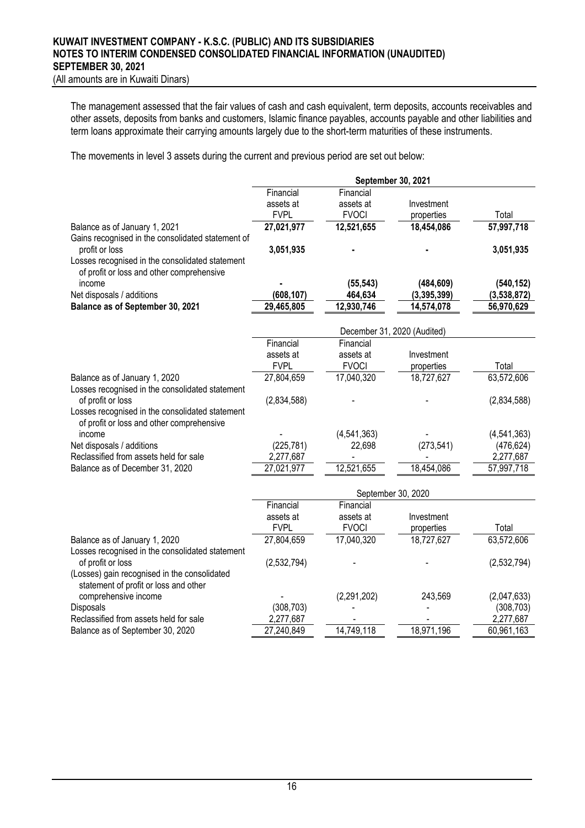(All amounts are in Kuwaiti Dinars)

The management assessed that the fair values of cash and cash equivalent, term deposits, accounts receivables and other assets, deposits from banks and customers, Islamic finance payables, accounts payable and other liabilities and term loans approximate their carrying amounts largely due to the short-term maturities of these instruments.

The movements in level 3 assets during the current and previous period are set out below:

|                                                                                                                                                                      | September 30, 2021       |                             |                          |             |  |
|----------------------------------------------------------------------------------------------------------------------------------------------------------------------|--------------------------|-----------------------------|--------------------------|-------------|--|
|                                                                                                                                                                      | Financial                | Financial                   |                          |             |  |
|                                                                                                                                                                      | assets at<br><b>FVPL</b> | assets at<br><b>FVOCI</b>   | Investment<br>properties | Total       |  |
| Balance as of January 1, 2021                                                                                                                                        | 27,021,977               | 12,521,655                  | 18,454,086               | 57,997,718  |  |
| Gains recognised in the consolidated statement of<br>profit or loss<br>Losses recognised in the consolidated statement<br>of profit or loss and other comprehensive  | 3,051,935                |                             |                          | 3,051,935   |  |
| income                                                                                                                                                               |                          | (55, 543)                   | (484, 609)               | (540, 152)  |  |
| Net disposals / additions                                                                                                                                            | (608, 107)               | 464,634                     | (3, 395, 399)            | (3,538,872) |  |
| Balance as of September 30, 2021                                                                                                                                     | 29,465,805               | 12,930,746                  | 14,574,078               | 56,970,629  |  |
|                                                                                                                                                                      |                          | December 31, 2020 (Audited) |                          |             |  |
|                                                                                                                                                                      | Financial                | Financial                   |                          |             |  |
|                                                                                                                                                                      | assets at<br><b>FVPL</b> | assets at<br><b>FVOCI</b>   | Investment<br>properties | Total       |  |
| Balance as of January 1, 2020                                                                                                                                        | 27,804,659               | 17,040,320                  | 18,727,627               | 63,572,606  |  |
| Losses recognised in the consolidated statement<br>of profit or loss<br>Losses recognised in the consolidated statement<br>of profit or loss and other comprehensive | (2,834,588)              |                             |                          | (2,834,588) |  |
| income                                                                                                                                                               |                          | (4,541,363)                 |                          | (4,541,363) |  |
| Net disposals / additions                                                                                                                                            | (225, 781)               | 22,698                      | (273, 541)               | (476, 624)  |  |
| Reclassified from assets held for sale                                                                                                                               | 2,277,687                |                             |                          | 2,277,687   |  |
| Balance as of December 31, 2020                                                                                                                                      | 27,021,977               | 12,521,655                  | 18,454,086               | 57,997,718  |  |
|                                                                                                                                                                      | September 30, 2020       |                             |                          |             |  |
|                                                                                                                                                                      | Financial                | Financial                   |                          |             |  |
|                                                                                                                                                                      | assets at                | assets at                   | Investment               |             |  |
|                                                                                                                                                                      | <b>FVPL</b>              | <b>FVOCI</b>                | properties               | Total       |  |
| Balance as of January 1, 2020<br>Losses recognised in the consolidated statement                                                                                     | 27,804,659               | 17,040,320                  | 18,727,627               | 63,572,606  |  |
| of profit or loss                                                                                                                                                    | (2,532,794)              |                             |                          | (2,532,794) |  |
| (Losses) gain recognised in the consolidated<br>statement of profit or loss and other                                                                                |                          |                             |                          |             |  |
| comprehensive income                                                                                                                                                 |                          | (2,291,202)                 | 243,569                  | (2,047,633) |  |
| Disposals                                                                                                                                                            | (308, 703)               |                             |                          | (308, 703)  |  |
| Reclassified from assets held for sale                                                                                                                               | 2,277,687                |                             |                          | 2,277,687   |  |
| Balance as of September 30, 2020                                                                                                                                     | 27,240,849               | 14,749,118                  | 18,971,196               | 60,961,163  |  |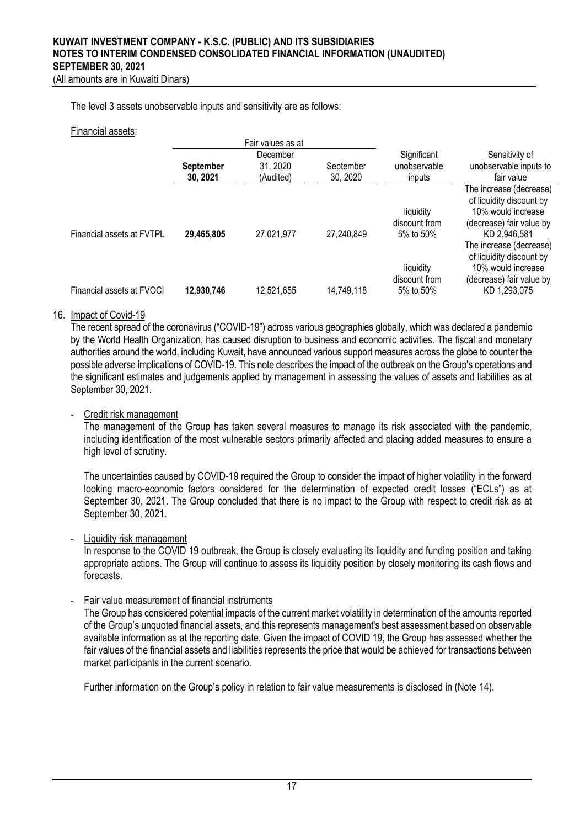The level 3 assets unobservable inputs and sensitivity are as follows:

#### Financial assets:

|                           |                              | Fair values as at                 |                       |                                         |                                                                                                                       |
|---------------------------|------------------------------|-----------------------------------|-----------------------|-----------------------------------------|-----------------------------------------------------------------------------------------------------------------------|
|                           | <b>September</b><br>30, 2021 | December<br>31, 2020<br>(Audited) | September<br>30, 2020 | Significant<br>unobservable<br>inputs   | Sensitivity of<br>unobservable inputs to<br>fair value                                                                |
| Financial assets at FVTPL | 29,465,805                   | 27,021,977                        | 27,240,849            | liquidity<br>discount from<br>5% to 50% | The increase (decrease)<br>of liquidity discount by<br>10% would increase<br>(decrease) fair value by<br>KD 2,946,581 |
| Financial assets at FVOCI | 12,930,746                   | 12,521,655                        | 14,749,118            | liquidity<br>discount from<br>5% to 50% | The increase (decrease)<br>of liquidity discount by<br>10% would increase<br>(decrease) fair value by<br>KD 1,293,075 |

#### 16. Impact of Covid-19

The recent spread of the coronavirus ("COVID-19") across various geographies globally, which was declared a pandemic by the World Health Organization, has caused disruption to business and economic activities. The fiscal and monetary authorities around the world, including Kuwait, have announced various support measures across the globe to counter the possible adverse implications of COVID-19. This note describes the impact of the outbreak on the Group's operations and the significant estimates and judgements applied by management in assessing the values of assets and liabilities as at September 30, 2021.

#### - Credit risk management

The management of the Group has taken several measures to manage its risk associated with the pandemic, including identification of the most vulnerable sectors primarily affected and placing added measures to ensure a high level of scrutiny.

The uncertainties caused by COVID-19 required the Group to consider the impact of higher volatility in the forward looking macro-economic factors considered for the determination of expected credit losses ("ECLs") as at September 30, 2021. The Group concluded that there is no impact to the Group with respect to credit risk as at September 30, 2021.

#### Liquidity risk management

In response to the COVID 19 outbreak, the Group is closely evaluating its liquidity and funding position and taking appropriate actions. The Group will continue to assess its liquidity position by closely monitoring its cash flows and forecasts.

#### Fair value measurement of financial instruments

The Group has considered potential impacts of the current market volatility in determination of the amounts reported of the Group's unquoted financial assets, and this represents management's best assessment based on observable available information as at the reporting date. Given the impact of COVID 19, the Group has assessed whether the fair values of the financial assets and liabilities represents the price that would be achieved for transactions between market participants in the current scenario.

Further information on the Group's policy in relation to fair value measurements is disclosed in (Note 14).